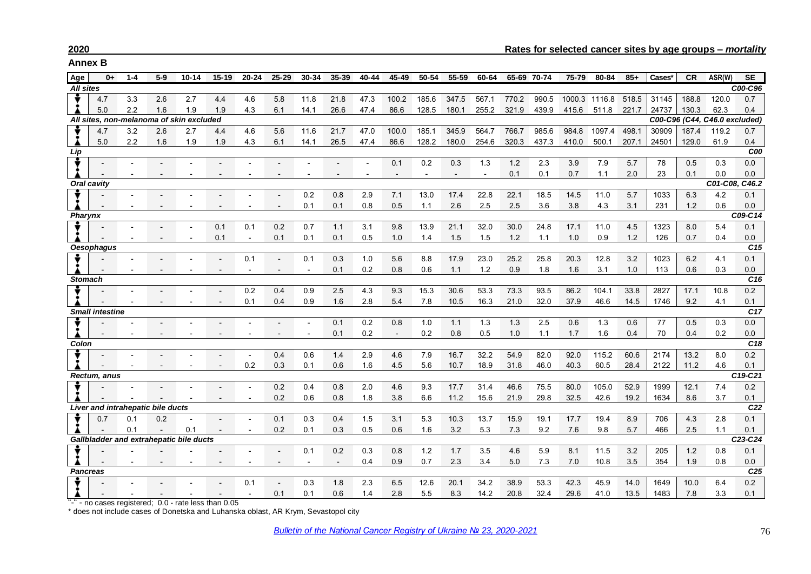**Annex B**

| Age                           | $0+$                                     | $1 - 4$ | $5-9$ | $10 - 14$ | $15 - 19$ | $20 - 24$ | 25-29 | 30-34                    | 35-39 | 40-44                    | 45-49          | 50-54 | 55-59                    | 60-64 |       | 65-69 70-74 | 75-79 | 80-84         | $85+$ | Cases* | <b>CR</b> | ASR(W)                        | <b>SE</b>              |
|-------------------------------|------------------------------------------|---------|-------|-----------|-----------|-----------|-------|--------------------------|-------|--------------------------|----------------|-------|--------------------------|-------|-------|-------------|-------|---------------|-------|--------|-----------|-------------------------------|------------------------|
| <b>All sites</b>              |                                          |         |       |           |           |           |       |                          |       |                          |                |       |                          |       |       |             |       |               |       |        |           |                               | C00-C96                |
|                               | 4.7                                      | 3.3     | 2.6   | 2.7       | 4.4       | 4.6       | 5.8   | 11.8                     | 21.8  | 47.3                     | 100.2          | 185.6 | 347.5                    | 567.1 | 770.2 | 990.5       |       | 1000.3 1116.8 | 518.5 | 31145  | 188.8     | 120.0                         | 0.7                    |
|                               | 5.0                                      | 2.2     | 1.6   | 1.9       | 1.9       | 4.3       | 6.1   | 14.1                     | 26.6  | 47.4                     | 86.6           | 128.5 | 180.1                    | 255.2 | 321.9 | 439.9       | 415.6 | 511.8         | 221.7 | 24737  | 130.3     | 62.3                          | 0.4                    |
|                               | All sites, non-melanoma of skin excluded |         |       |           |           |           |       |                          |       |                          |                |       |                          |       |       |             |       |               |       |        |           | C00-C96 (C44, C46.0 excluded) |                        |
|                               | 4.7                                      | 3.2     | 2.6   | 2.7       | 4.4       | 4.6       | 5.6   | 11.6                     | 21.7  | 47.0                     | 100.0          | 185.1 | 345.9                    | 564.7 | 766.7 | 985.6       | 984.8 | 1097.4        | 498.1 | 30909  | 187.4     | 119.2                         | 0.7                    |
|                               | 5.0                                      | 2.2     | 1.6   | 1.9       | 1.9       | 4.3       | 6.1   | 14.1                     | 26.5  | 47.4                     | 86.6           | 128.2 | 180.0                    | 254.6 | 320.3 | 437.3       | 410.0 | 500.1         | 207.1 | 24501  | 129.0     | 61.9                          | 0.4                    |
| Lip                           |                                          |         |       |           |           |           |       |                          |       |                          |                |       |                          |       |       |             |       |               |       |        |           |                               | C00                    |
|                               |                                          |         |       |           |           |           |       |                          |       |                          | 0.1            | 0.2   | 0.3                      | 1.3   | 1.2   | 2.3         | 3.9   | 7.9           | 5.7   | 78     | 0.5       | 0.3                           | 0.0                    |
|                               |                                          |         |       |           |           |           |       |                          |       | $\overline{\phantom{a}}$ | $\overline{a}$ |       | $\overline{\phantom{0}}$ |       | 0.1   | 0.1         | 0.7   | 1.1           | 2.0   | 23     | 0.1       | 0.0                           | 0.0                    |
| C01-C08, C46.2<br>Oral cavity |                                          |         |       |           |           |           |       |                          |       |                          |                |       |                          |       |       |             |       |               |       |        |           |                               |                        |
|                               |                                          |         |       |           |           |           |       | 0.2                      | 0.8   | 2.9                      | 7.1            | 13.0  | 17.4                     | 22.8  | 22.1  | 18.5        | 14.5  | 11.0          | 5.7   | 1033   | 6.3       | 4.2                           | 0.1                    |
|                               |                                          |         |       |           |           |           |       | 0.1                      | 0.1   | 0.8                      | 0.5            | 1.1   | 2.6                      | 2.5   | 2.5   | 3.6         | 3.8   | 4.3           | 3.1   | 231    | 1.2       | 0.6                           | 0.0                    |
| Pharynx                       |                                          |         |       |           |           |           |       |                          |       |                          |                |       |                          |       |       |             |       |               |       |        |           |                               | C09-C14                |
|                               |                                          |         |       |           | 0.1       | 0.1       | 0.2   | 0.7                      | 1.1   | 3.1                      | 9.8            | 13.9  | 21.1                     | 32.0  | 30.0  | 24.8        | 17.1  | 11.0          | 4.5   | 1323   | 8.0       | 5.4                           | 0.1                    |
|                               |                                          |         |       |           | 0.1       |           | 0.1   | 0.1                      | 0.1   | 0.5                      | 1.0            | 1.4   | 1.5                      | 1.5   | 1.2   | 1.1         | 1.0   | 0.9           | 1.2   | 126    | 0.7       | 0.4                           | 0.0                    |
|                               | <b>Oesophagus</b>                        |         |       |           |           |           |       |                          |       |                          |                |       |                          |       |       |             |       |               |       |        |           |                               | C <sub>15</sub>        |
|                               |                                          |         |       |           |           | 0.1       |       | 0.1                      | 0.3   | 1.0                      | 5.6            | 8.8   | 17.9                     | 23.0  | 25.2  | 25.8        | 20.3  | 12.8          | 3.2   | 1023   | 6.2       | 4.1                           | 0.1                    |
|                               |                                          |         |       |           |           |           |       |                          | 0.1   | 0.2                      | 0.8            | 0.6   | 1.1                      | 1.2   | 0.9   | 1.8         | 1.6   | 3.1           | 1.0   | 113    | 0.6       | 0.3                           | $0.0\,$                |
| <b>Stomach</b>                |                                          |         |       |           |           |           |       |                          |       |                          |                |       |                          |       |       |             | C16   |               |       |        |           |                               |                        |
|                               |                                          |         |       |           |           | 0.2       | 0.4   | 0.9                      | 2.5   | 4.3                      | 9.3            | 15.3  | 30.6                     | 53.3  | 73.3  | 93.5        | 86.2  | 104.1         | 33.8  | 2827   | 17.1      | 10.8                          | 0.2                    |
|                               |                                          |         |       |           |           | 0.1       | 0.4   | 0.9                      | 1.6   | 2.8                      | 5.4            | 7.8   | 10.5                     | 16.3  | 21.0  | 32.0        | 37.9  | 46.6          | 14.5  | 1746   | 9.2       | 4.1                           | 0.1                    |
| <b>Small intestine</b>        |                                          |         |       |           |           |           |       |                          |       |                          |                |       |                          |       |       | C17         |       |               |       |        |           |                               |                        |
|                               |                                          |         |       |           |           |           |       |                          | 0.1   | 0.2                      | 0.8            | 1.0   | 1.1                      | 1.3   | 1.3   | 2.5         | 0.6   | 1.3           | 0.6   | 77     | 0.5       | 0.3                           | 0.0                    |
|                               |                                          |         |       |           |           |           |       |                          | 0.1   | 0.2                      | $\sim$         | 0.2   | 0.8                      | 0.5   | 1.0   | 1.1         | 1.7   | 1.6           | 0.4   | 70     | 0.4       | 0.2                           | 0.0                    |
| Colon                         |                                          |         |       |           |           |           |       |                          |       |                          |                |       |                          |       |       |             |       |               |       |        |           |                               | C18                    |
|                               |                                          |         |       |           |           |           | 0.4   | 0.6                      | 1.4   | 2.9                      | 4.6            | 7.9   | 16.7                     | 32.2  | 54.9  | 82.0        | 92.0  | 115.2         | 60.6  | 2174   | 13.2      | 8.0                           | 0.2                    |
|                               |                                          |         |       |           |           | 0.2       | 0.3   | 0.1                      | 0.6   | 1.6                      | 4.5            | 5.6   | 10.7                     | 18.9  | 31.8  | 46.0        | 40.3  | 60.5          | 28.4  | 2122   | 11.2      | 4.6                           | 0.1                    |
|                               | Rectum, anus                             |         |       |           |           |           |       |                          |       |                          |                |       |                          |       |       |             |       |               |       |        |           |                               | C19-C21                |
|                               |                                          |         |       |           |           |           | 0.2   | 0.4                      | 0.8   | 2.0                      | 4.6            | 9.3   | 17.7                     | 31.4  | 46.6  | 75.5        | 80.0  | 105.0         | 52.9  | 1999   | 12.1      | 7.4                           | 0.2                    |
|                               |                                          |         |       |           |           |           | 0.2   | 0.6                      | 0.8   | 1.8                      | 3.8            | 6.6   | 11.2                     | 15.6  | 21.9  | 29.8        | 32.5  | 42.6          | 19.2  | 1634   | 8.6       | 3.7                           | 0.1<br>C <sub>22</sub> |
|                               | Liver and intrahepatic bile ducts        |         |       |           |           |           |       |                          |       |                          |                |       |                          |       |       |             |       |               |       |        |           |                               |                        |
|                               | 0.7                                      | 0.1     | 0.2   |           |           |           | 0.1   | 0.3                      | 0.4   | 1.5                      | 3.1            | 5.3   | 10.3                     | 13.7  | 15.9  | 19.1        | 17.7  | 19.4          | 8.9   | 706    | 4.3       | 2.8                           | 0.1                    |
|                               |                                          | 0.1     |       | 0.1       |           |           | 0.2   | 0.1                      | 0.3   | 0.5                      | 0.6            | 1.6   | 3.2                      | 5.3   | 7.3   | 9.2         | 7.6   | 9.8           | 5.7   | 466    | 2.5       | 1.1                           | 0.1<br>C23-C24         |
|                               | Gallbladder and extrahepatic bile ducts  |         |       |           |           |           |       |                          |       |                          |                |       |                          |       |       |             |       |               |       |        |           |                               |                        |
|                               |                                          |         |       |           |           |           |       | 0.1                      | 0.2   | 0.3                      | 0.8            | 1.2   | 1.7                      | 3.5   | 4.6   | 5.9         | 8.1   | 11.5          | 3.2   | 205    | 1.2       | 0.8                           | 0.1                    |
|                               | <b>Pancreas</b>                          |         |       |           |           |           |       | $\overline{\phantom{a}}$ |       | 0.4                      | 0.9            | 0.7   | 2.3                      | 3.4   | 5.0   | 7.3         | 7.0   | 10.8          | 3.5   | 354    | 1.9       | 0.8                           | 0.0<br>C <sub>25</sub> |
|                               |                                          |         |       |           |           | 0.1       |       |                          |       |                          |                |       |                          | 34.2  | 38.9  | 53.3        | 42.3  | 45.9          | 14.0  | 1649   |           |                               | 0.2                    |
|                               |                                          |         |       |           |           |           |       | 0.3                      | 1.8   | 2.3                      | 6.5            | 12.6  | 20.1                     |       |       |             |       |               |       |        | 10.0      | 6.4                           |                        |
|                               |                                          |         |       |           |           |           | 0.1   | 0.1                      | 0.6   | 1.4                      | 2.8            | 5.5   | 8.3                      | 14.2  | 20.8  | 32.4        | 29.6  | 41.0          | 13.5  | 1483   | 7.8       | 3.3                           | 0.1                    |

"-" - no cases registered; 0.0 - rate less than 0.05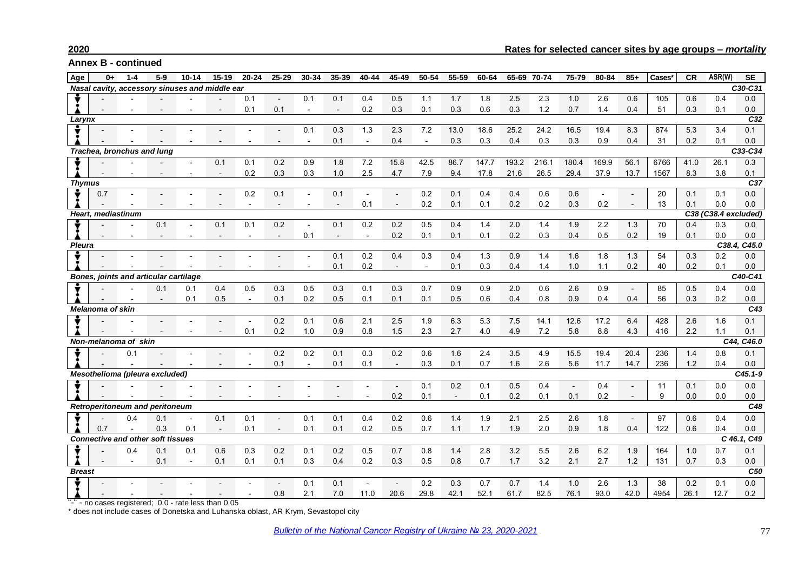## **2020 Rates for selected cancer sites by age groups –** *mortality*

**Annex B - continued**

| Age                                   | $0+$                                       | $1 - 4$              | $5-9$                                    | $10 - 14$                                      | $15 - 19$                | $20 - 24$                | $25 - 29$    | 30-34                    | 35-39                    | 40-44                    | 45-49                    | 50-54          | 55-59 | 60-64 | 65-69 | 70-74   | 75-79          | 80-84 | $85+$          | Cases* | <b>CR</b> | ASR(W) | <b>SE</b>   |
|---------------------------------------|--------------------------------------------|----------------------|------------------------------------------|------------------------------------------------|--------------------------|--------------------------|--------------|--------------------------|--------------------------|--------------------------|--------------------------|----------------|-------|-------|-------|---------|----------------|-------|----------------|--------|-----------|--------|-------------|
|                                       |                                            |                      |                                          | Nasal cavity, accessory sinuses and middle ear |                          |                          |              |                          |                          |                          |                          |                |       |       |       |         |                |       |                |        |           |        | C30-C31     |
|                                       |                                            |                      |                                          |                                                |                          | 0.1                      | $\mathbf{r}$ | 0.1                      | 0.1                      | 0.4                      | 0.5                      | 1.1            | 1.7   | 1.8   | 2.5   | 2.3     | 1.0            | 2.6   | 0.6            | 105    | 0.6       | 0.4    | 0.0         |
|                                       |                                            |                      |                                          |                                                |                          | 0.1                      | 0.1          | $\overline{\phantom{a}}$ | $\overline{\phantom{a}}$ | 0.2                      | 0.3                      | 0.1            | 0.3   | 0.6   | 0.3   | 1.2     | 0.7            | 1.4   | 0.4            | 51     | 0.3       | 0.1    | 0.0         |
| Larynx                                |                                            |                      |                                          |                                                |                          |                          |              |                          |                          |                          |                          |                |       |       |       |         |                |       |                |        |           |        | C32         |
|                                       |                                            |                      |                                          |                                                |                          |                          |              | 0.1                      | 0.3                      | 1.3                      | 2.3                      | 7.2            | 13.0  | 18.6  | 25.2  | 24.2    | 16.5           | 19.4  | 8.3            | 874    | 5.3       | 3.4    | 0.1         |
|                                       |                                            |                      |                                          |                                                |                          |                          |              |                          | 0.1                      | $\overline{\phantom{a}}$ | 0.4                      | $\blacksquare$ | 0.3   | 0.3   | 0.4   | 0.3     | 0.3            | 0.9   | 0.4            | 31     | 0.2       | 0.1    | 0.0         |
| Trachea, bronchus and lung            |                                            |                      |                                          |                                                |                          |                          |              |                          |                          |                          |                          |                |       |       |       |         | C33-C34        |       |                |        |           |        |             |
|                                       |                                            |                      |                                          |                                                | 0.1                      | 0.1                      | 0.2          | 0.9                      | 1.8                      | 7.2                      | 15.8                     | 42.5           | 86.7  | 147.7 | 193.2 | 216.1   | 180.4          | 169.9 | 56.1           | 6766   | 41.0      | 26.1   | 0.3         |
|                                       |                                            |                      |                                          |                                                | $\overline{\phantom{a}}$ | 0.2                      | 0.3          | 0.3                      | 1.0                      | 2.5                      | 4.7                      | 7.9            | 9.4   | 17.8  | 21.6  | 26.5    | 29.4           | 37.9  | 13.7           | 1567   | 8.3       | 3.8    | 0.1         |
| <b>Thymus</b>                         |                                            |                      |                                          |                                                |                          |                          |              |                          |                          |                          |                          |                |       |       |       |         |                |       |                |        |           |        | C37         |
|                                       | 0.7                                        |                      |                                          |                                                |                          | 0.2                      | 0.1          | $\overline{\phantom{a}}$ | 0.1                      |                          | $\overline{a}$           | 0.2            | 0.1   | 0.4   | 0.4   | 0.6     | 0.6            |       |                | 20     | 0.1       | 0.1    | 0.0         |
|                                       |                                            |                      |                                          |                                                |                          |                          |              |                          |                          | 0.1                      |                          | 0.2            | 0.1   | 0.1   | 0.2   | 0.2     | 0.3            | 0.2   |                | 13     | 0.1       | 0.0    | 0.0         |
|                                       | Heart, mediastinum<br>C38 (C38.4 excluded) |                      |                                          |                                                |                          |                          |              |                          |                          |                          |                          |                |       |       |       |         |                |       |                |        |           |        |             |
|                                       |                                            |                      | 0.1                                      | $\blacksquare$                                 | 0.1                      | 0.1                      | 0.2          | $\sim$                   | 0.1                      | 0.2                      | 0.2                      | 0.5            | 0.4   | 1.4   | 2.0   | 1.4     | 1.9            | 2.2   | 1.3            | 70     | 0.4       | 0.3    | 0.0         |
|                                       |                                            |                      |                                          |                                                |                          |                          |              | 0.1                      |                          | $\blacksquare$           | 0.2                      | 0.1            | 0.1   | 0.1   | 0.2   | 0.3     | 0.4            | 0.5   | 0.2            | 19     | 0.1       | 0.0    | 0.0         |
| Pleura                                |                                            |                      |                                          |                                                |                          |                          |              |                          |                          |                          |                          |                |       |       |       |         |                |       |                |        |           | C38.4, | C45.0       |
|                                       |                                            |                      |                                          |                                                |                          |                          |              |                          | 0.1                      | 0.2                      | 0.4                      | 0.3            | 0.4   | 1.3   | 0.9   | 1.4     | 1.6            | 1.8   | 1.3            | 54     | 0.3       | 0.2    | 0.0         |
|                                       |                                            |                      |                                          |                                                |                          |                          |              | $\blacksquare$           | 0.1                      | 0.2                      | $\sim$                   | $\blacksquare$ | 0.1   | 0.3   | 0.4   | 1.4     | 1.0            | 1.1   | 0.2            | 40     | 0.2       | 0.1    | 0.0         |
| Bones, joints and articular cartilage |                                            |                      |                                          |                                                |                          |                          |              |                          |                          |                          |                          |                |       |       |       | C40-C41 |                |       |                |        |           |        |             |
|                                       |                                            |                      | 0.1                                      | 0.1                                            | 0.4                      | 0.5                      | 0.3          | 0.5                      | 0.3                      | 0.1                      | 0.3                      | 0.7            | 0.9   | 0.9   | 2.0   | 0.6     | 2.6            | 0.9   | $\blacksquare$ | 85     | 0.5       | 0.4    | 0.0         |
|                                       |                                            |                      |                                          | 0.1                                            | 0.5                      | $\overline{\phantom{a}}$ | 0.1          | 0.2                      | 0.5                      | 0.1                      | 0.1                      | 0.1            | 0.5   | 0.6   | 0.4   | 0.8     | 0.9            | 0.4   | 0.4            | 56     | 0.3       | 0.2    | 0.0         |
| <b>Melanoma of skin</b>               |                                            |                      |                                          |                                                |                          |                          |              |                          |                          |                          |                          |                |       |       |       | C43     |                |       |                |        |           |        |             |
|                                       |                                            |                      |                                          |                                                |                          |                          | 0.2          | 0.1                      | 0.6                      | 2.1                      | 2.5                      | 1.9            | 6.3   | 5.3   | 7.5   | 14.1    | 12.6           | 17.2  | 6.4            | 428    | 2.6       | 1.6    | 0.1         |
|                                       |                                            |                      |                                          |                                                |                          | 0.1                      | 0.2          | 1.0                      | 0.9                      | 0.8                      | 1.5                      | 2.3            | 2.7   | 4.0   | 4.9   | 7.2     | 5.8            | 8.8   | 4.3            | 416    | 2.2       | 1.1    | 0.1         |
|                                       |                                            | Non-melanoma of skin |                                          |                                                |                          |                          |              |                          |                          |                          |                          |                |       |       |       |         |                |       |                |        |           |        | C44, C46.0  |
|                                       |                                            | 0.1                  |                                          |                                                |                          |                          | 0.2          | 0.2                      | 0.1                      | 0.3                      | 0.2                      | 0.6            | 1.6   | 2.4   | 3.5   | 4.9     | 15.5           | 19.4  | 20.4           | 236    | 1.4       | 0.8    | 0.1         |
|                                       |                                            |                      |                                          |                                                |                          |                          | 0.1          | $\sim$                   | 0.1                      | 0.1                      | $\overline{\phantom{a}}$ | 0.3            | 0.1   | 0.7   | 1.6   | 2.6     | 5.6            | 11.7  | 14.7           | 236    | 1.2       | 0.4    | 0.0         |
|                                       |                                            |                      | Mesothelioma (pleura excluded)           |                                                |                          |                          |              |                          |                          |                          |                          |                |       |       |       |         |                |       |                |        |           |        | $C45.1 - 9$ |
|                                       |                                            |                      |                                          |                                                |                          |                          |              |                          |                          |                          | $\overline{a}$           | 0.1            | 0.2   | 0.1   | 0.5   | 0.4     | $\blacksquare$ | 0.4   |                | 11     | 0.1       | 0.0    | 0.0         |
|                                       |                                            |                      |                                          |                                                |                          |                          |              |                          |                          |                          | 0.2                      | 0.1            |       | 0.1   | 0.2   | 0.1     | 0.1            | 0.2   |                | 9      | 0.0       | 0.0    | 0.0         |
|                                       |                                            |                      | Retroperitoneum and peritoneum           |                                                |                          |                          |              |                          |                          |                          |                          |                |       |       |       |         |                |       |                |        |           |        | C48         |
|                                       |                                            | 0.4                  | 0.1                                      |                                                | 0.1                      | 0.1                      |              | 0.1                      | 0.1                      | 0.4                      | 0.2                      | 0.6            | 1.4   | 1.9   | 2.1   | 2.5     | 2.6            | 1.8   | $\sim$         | 97     | 0.6       | 0.4    | 0.0         |
|                                       | 0.7                                        |                      | 0.3                                      | 0.1                                            | $\overline{\phantom{a}}$ | 0.1                      |              | 0.1                      | 0.1                      | 0.2                      | 0.5                      | 0.7            | 1.1   | 1.7   | 1.9   | 2.0     | 0.9            | 1.8   | 0.4            | 122    | 0.6       | 0.4    | 0.0         |
|                                       |                                            |                      | <b>Connective and other soft tissues</b> |                                                |                          |                          |              |                          |                          |                          |                          |                |       |       |       |         |                |       |                |        |           |        | C 46.1, C49 |
|                                       |                                            | 0.4                  | 0.1                                      | 0.1                                            | 0.6                      | 0.3                      | 0.2          | 0.1                      | 0.2                      | 0.5                      | 0.7                      | 0.8            | 1.4   | 2.8   | 3.2   | 5.5     | 2.6            | 6.2   | 1.9            | 164    | 1.0       | 0.7    | 0.1         |
|                                       |                                            |                      | 0.1                                      | $\blacksquare$                                 | 0.1                      | 0.1                      | 0.1          | 0.3                      | 0.4                      | 0.2                      | 0.3                      | 0.5            | 0.8   | 0.7   | 1.7   | 3.2     | 2.1            | 2.7   | $1.2$          | 131    | 0.7       | 0.3    | 0.0         |
| <b>Breast</b>                         |                                            |                      |                                          |                                                |                          |                          |              |                          |                          |                          |                          |                |       |       |       |         |                |       |                |        |           |        | C50         |
|                                       |                                            |                      |                                          |                                                |                          |                          |              | 0.1                      | 0.1                      | $\blacksquare$           | $\overline{\phantom{a}}$ | 0.2            | 0.3   | 0.7   | 0.7   | 1.4     | 1.0            | 2.6   | 1.3            | 38     | 0.2       | 0.1    | 0.0         |
|                                       |                                            |                      |                                          |                                                |                          |                          | 0.8          | 2.1                      | 7.0                      | 11.0                     | 20.6                     | 29.8           | 42.1  | 52.1  | 61.7  | 82.5    | 76.1           | 93.0  | 42.0           | 4954   | 26.1      | 12.7   | 0.2         |
|                                       |                                            | no cococ rogictorod: | $\cap$ $\cap$                            |                                                |                          |                          |              |                          |                          |                          |                          |                |       |       |       |         |                |       |                |        |           |        |             |

"-" - no cases registered; 0.0 - rate less than 0.05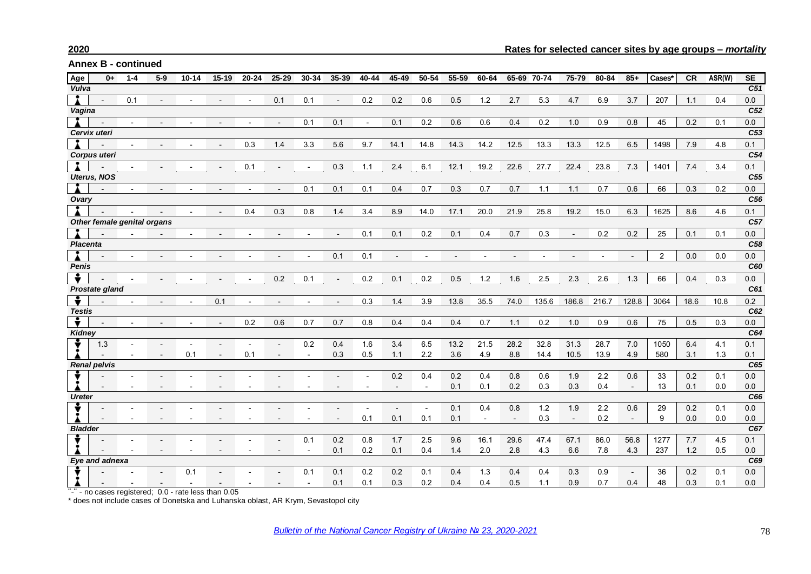| Age             | $0+$                | $1 - 4$ | $5-9$                       | $10 - 14$ | $15 - 19$ | $20 - 24$ | $25 - 29$ | 30-34 | 35-39          | 40-44  | 45-49 | 50-54          | 55-59 | 60-64                    | 65-69 70-74 |       | 75-79                    | 80-84 | $85+$  | Cases* | CR   | ASR(W) | <b>SE</b>       |
|-----------------|---------------------|---------|-----------------------------|-----------|-----------|-----------|-----------|-------|----------------|--------|-------|----------------|-------|--------------------------|-------------|-------|--------------------------|-------|--------|--------|------|--------|-----------------|
| Vulva           |                     |         |                             |           |           |           |           |       |                |        |       |                |       |                          |             |       |                          |       |        |        |      |        | C51             |
|                 |                     | 0.1     |                             |           |           |           | 0.1       | 0.1   | $\blacksquare$ | 0.2    | 0.2   | 0.6            | 0.5   | 1.2                      | 2.7         | 5.3   | 4.7                      | 6.9   | 3.7    | 207    | 1.1  | 0.4    | 0.0             |
| Vagina          |                     |         |                             |           |           |           |           |       |                |        |       |                |       |                          |             |       |                          |       |        |        |      |        | C <sub>52</sub> |
|                 |                     |         |                             |           |           |           |           | 0.1   | 0.1            | $\sim$ | 0.1   | 0.2            | 0.6   | 0.6                      | 0.4         | 0.2   | 1.0                      | 0.9   | 0.8    | 45     | 0.2  | 0.1    | 0.0             |
|                 | Cervix uteri        |         |                             |           |           |           |           |       |                |        |       |                |       |                          |             |       |                          |       |        |        |      |        | C53             |
|                 |                     |         |                             |           |           | 0.3       | 1.4       | 3.3   | 5.6            | 9.7    | 14.1  | 14.8           | 14.3  | 14.2                     | 12.5        | 13.3  | 13.3                     | 12.5  | 6.5    | 1498   | 7.9  | 4.8    | 0.1             |
|                 | <b>Corpus uteri</b> |         |                             |           |           |           |           |       |                |        |       |                |       |                          |             |       |                          |       |        |        |      |        | C54             |
|                 |                     |         |                             |           |           | 0.1       |           |       | 0.3            | 1.1    | 2.4   | 6.1            | 12.1  | 19.2                     | 22.6        | 27.7  | 22.4                     | 23.8  | 7.3    | 1401   | 7.4  | 3.4    | 0.1             |
|                 | <b>Uterus, NOS</b>  |         |                             |           |           |           |           |       |                |        |       |                |       |                          |             |       |                          |       |        |        |      |        | C <sub>55</sub> |
|                 |                     |         |                             |           |           |           |           | 0.1   | 0.1            | 0.1    | 0.4   | 0.7            | 0.3   | 0.7                      | 0.7         | 1.1   | 1.1                      | 0.7   | 0.6    | 66     | 0.3  | 0.2    | 0.0             |
| Ovary           |                     |         |                             |           |           |           |           |       |                |        |       |                |       |                          |             |       |                          |       |        |        |      |        | C <sub>56</sub> |
|                 |                     |         |                             |           |           | 0.4       | 0.3       | 0.8   | 1.4            | 3.4    | 8.9   | 14.0           | 17.1  | 20.0                     | 21.9        | 25.8  | 19.2                     | 15.0  | 6.3    | 1625   | 8.6  | 4.6    | 0.1             |
|                 |                     |         | Other female genital organs |           |           |           |           |       |                |        |       |                |       |                          |             |       |                          |       |        |        |      |        | C <sub>57</sub> |
|                 |                     |         |                             |           |           |           |           |       |                | 0.1    | 0.1   | 0.2            | 0.1   | 0.4                      | 0.7         | 0.3   |                          | 0.2   | 0.2    | 25     | 0.1  | 0.1    | 0.0             |
| <b>Placenta</b> |                     |         |                             |           |           |           |           |       |                |        |       |                |       |                          |             |       |                          |       |        |        |      |        | C58             |
|                 |                     |         |                             |           |           |           |           |       | 0.1            | 0.1    |       |                |       |                          |             |       |                          |       |        | 2      | 0.0  | 0.0    | 0.0             |
| Penis           |                     |         |                             |           |           |           |           |       |                |        |       |                |       |                          |             |       |                          |       |        |        |      |        | C60             |
|                 |                     |         |                             |           |           |           | 0.2       | 0.1   | $\blacksquare$ | 0.2    | 0.1   | 0.2            | 0.5   | 1.2                      | 1.6         | 2.5   | 2.3                      | 2.6   | 1.3    | 66     | 0.4  | 0.3    | 0.0             |
|                 | Prostate gland      |         |                             |           |           |           |           |       |                |        |       |                |       |                          |             |       |                          |       |        |        |      |        | C61             |
|                 |                     |         |                             |           | 0.1       |           |           |       |                | 0.3    | 1.4   | 3.9            | 13.8  | 35.5                     | 74.0        | 135.6 | 186.8                    | 216.7 | 128.8  | 3064   | 18.6 | 10.8   | 0.2             |
| <b>Testis</b>   |                     |         |                             |           |           |           |           |       |                |        |       |                |       |                          |             |       |                          |       |        |        |      |        | C62             |
|                 |                     |         |                             |           |           | 0.2       | 0.6       | 0.7   | 0.7            | 0.8    | 0.4   | 0.4            | 0.4   | 0.7                      | 1.1         | 0.2   | 1.0                      | 0.9   | 0.6    | 75     | 0.5  | 0.3    | 0.0             |
| Kidney          |                     |         |                             |           |           |           |           |       |                |        |       |                |       |                          |             |       |                          |       |        |        |      |        | C64             |
|                 | 1.3                 |         |                             | 0.1       |           | 0.1       |           | 0.2   | 0.4<br>0.3     | 1.6    | 3.4   | 6.5            | 13.2  | 21.5                     | 28.2        | 32.8  | 31.3                     | 28.7  | 7.0    | 1050   | 6.4  | 4.1    | 0.1             |
|                 | <b>Renal pelvis</b> |         |                             |           |           |           |           |       |                | 0.5    | 1.1   | 2.2            | 3.6   | 4.9                      | 8.8         | 14.4  | 10.5                     | 13.9  | 4.9    | 580    | 3.1  | 1.3    | 0.1<br>C65      |
|                 |                     |         |                             |           |           |           |           |       |                |        | 0.2   | 0.4            | 0.2   | 0.4                      | 0.8         | 0.6   | 1.9                      | 2.2   | 0.6    | 33     | 0.2  | 0.1    | 0.0             |
|                 |                     |         |                             |           |           |           |           |       |                |        |       |                | 0.1   | 0.1                      | 0.2         | 0.3   | 0.3                      | 0.4   | $\sim$ | 13     | 0.1  | 0.0    | 0.0             |
| <b>Ureter</b>   |                     |         |                             |           |           |           |           |       |                |        |       |                |       |                          |             |       |                          |       |        |        |      |        | C66             |
|                 |                     |         |                             |           |           |           |           |       |                |        |       | $\blacksquare$ | 0.1   | 0.4                      | 0.8         | 1.2   | 1.9                      | 2.2   | 0.6    | 29     | 0.2  | 0.1    | 0.0             |
|                 |                     |         |                             |           |           |           |           |       |                | 0.1    | 0.1   | 0.1            | 0.1   | $\overline{\phantom{a}}$ | $\sim$      | 0.3   | $\overline{\phantom{a}}$ | 0.2   | $\sim$ | 9      | 0.0  | 0.0    | 0.0             |
| <b>Bladder</b>  |                     |         |                             |           |           |           |           |       |                |        |       |                |       |                          |             |       |                          |       |        |        |      |        | C67             |
|                 |                     |         |                             |           |           |           |           | 0.1   | 0.2            | 0.8    | 1.7   | 2.5            | 9.6   | 16.1                     | 29.6        | 47.4  | 67.1                     | 86.0  | 56.8   | 1277   | 7.7  | 4.5    | 0.1             |
|                 |                     |         |                             |           |           |           |           |       | 0.1            | 0.2    | 0.1   | 0.4            | 1.4   | 2.0                      | 2.8         | 4.3   | 6.6                      | 7.8   | 4.3    | 237    | 1.2  | 0.5    | 0.0             |
|                 | Eye and adnexa      |         |                             |           |           |           |           |       |                |        |       |                |       |                          |             |       |                          |       |        |        |      |        | C69             |
|                 |                     |         |                             | 0.1       |           |           |           | 0.1   | 0.1            | 0.2    | 0.2   | 0.1            | 0.4   | 1.3                      | 0.4         | 0.4   | 0.3                      | 0.9   | $\sim$ | 36     | 0.2  | 0.1    | 0.0             |
|                 |                     |         |                             |           |           |           |           |       | 0.1            | 0.1    | 0.3   | 0.2            | 0.4   | 0.4                      | 0.5         | 1.1   | 0.9                      | 0.7   | 0.4    | 48     | 0.3  | 0.1    | 0.0             |

"-" - no cases registered; 0.0 - rate less than 0.05